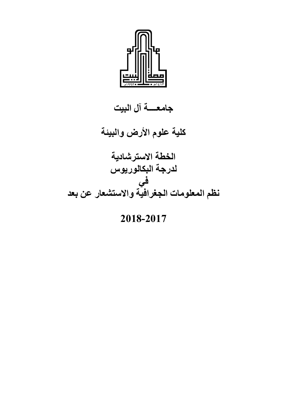

**جامعــــة آل البيت**

**كلية علوم األرض والبيئة**

**الخطة االسترشادية لدرجة البكالوريوس في نظم المعلومات الجغرافية واالستشعار عن بعد**

## **2018-2017**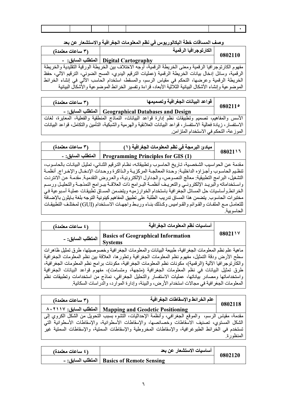وصف المساقات خطة البكالوريوس في نظم المعلومات الجغرافية والاستشعار عن بعد

| (۳ ساعات معتمدة) | الكارتوجرافيا الرقمية                                                                                   | 0802110 |
|------------------|---------------------------------------------------------------------------------------------------------|---------|
|                  | - Digital Cartography   المتطلب السابق: -                                                               |         |
|                  | مفهوم الكارتوجرافيا الرقمية ومعنى الخريطة الرقمية، أوجه الاختلاف بين الخريطة الورقية التقليدية والخريطة |         |
|                  | الرقمية، وسائل إدخال بيانات الخريطة الرقمية (عمليات الترقيم اليدوي، المسح الضوئي، الترقيم الآلي، حفظ    |         |
|                  | الخريطة الرقمية وعرضها، التحكم في مقياس الرسم، والمسقط، استخدام الحاسب الألي في إنشاء الخرائط           |         |
|                  | الموضوعية وإنشاء الأشكال البيانية الثلاثية الأبعاد، قراءة وتفسير الخرائط الموضوعية والأشكال البيانية    |         |

| (٣ ساعات معتمدة) | قواعد البيانات الجغرافية وتصميمها                                                                               | 080211° |
|------------------|-----------------------------------------------------------------------------------------------------------------|---------|
|                  | - المتطلب السابق: - Geographical Databases and Design                                                           |         |
|                  | الأسس والمفاهيم، تصميم وتطبيقات نظم إدارة قواعد البيانات، النماذج المنطقية والفعلية، المعايرة، لغات             |         |
|                  | الاستفسار، زيادة فعالية الاستفسار، قواعد البيانات العلائقية والهرمية والشبكية، التأمين والتكامل، قواعد البيانات |         |
|                  | الموز عة، التحكم في الاستخدام المتز امن                                                                         |         |

| (۳ ساعات معتمدة) | مبادئ البرمجة في نظم المعلومات الجغرافية (١)         |        |
|------------------|------------------------------------------------------|--------|
|                  | Programming Principles for GIS (1) المتطلب السابق: - | 08021\ |

مقدمة عن الحواسيب الشخصية، تـاريخ الحاسوب وتطبيقاتـه، نظـام الترقيم الثنـائي، تمثيل البيانـات بالحاسوب، تنظيم الحاسوب وأجزاؤه الداخلية: وحدة المعالجـة المركزيـة والـذاكرة ووحدات الإدخـال والإخـراج. أنظمـة التشغيل، البرامج التطبيقية: معالج النصوص، والجداول الإلكترونية، والعروض التقدمية. مقدمة عن الانترنت واستخداماته والبريد الإلكترونـي والتعريـف أنظمـة البـرامج ذات العلاقـة ببـرامج النمذجـة والتحليـل ورسـم الخر ائط وأساسيات حل المسائل الجغر افية باستخدام الخوارزميه ويتضمن المساق تطبيقات عملية أسبوعية في مختبرات الحاسوب. يتضمن هذا المساق تدريب الطلبة على تطبيق المفاهيم كينونية التوجه بلغة بـايثون بالإضـافة للتعامل مـع الملفـات والقوائم والقـواميس وكـذلك بنـاء وربـط واجهـات الاسـتخدام (GUI) لمختلـف التطبيقـات الحاسو ببة

| (٤ ساعات معتمدة)                                                                                       | أساسيات نظم المعلومات الجغرافية                                                                   |         |  |  |
|--------------------------------------------------------------------------------------------------------|---------------------------------------------------------------------------------------------------|---------|--|--|
| المتطلب السابق: -                                                                                      | <b>Basics of Geographical Information</b><br><b>Systems</b>                                       | 0802117 |  |  |
| ماهية علم نظم المعلومات الجغرافية، طبيعة البيانات والمعلومات الجغرافية وخصوصيتها، طرق تمثيل ظاهرات     |                                                                                                   |         |  |  |
| سطح الأرض ودقة التمثيل، مفهوم نظم المعلومات الجغرافية وتطورها، العلاقة بين نظم المعلومات الجغرافية     |                                                                                                   |         |  |  |
| والكارتوجرافيا الألية (الرقمية)، مكونات نظم المعلومات الجغرافية، مكونات برامج نظم المعلومات الجغرافية، |                                                                                                   |         |  |  |
|                                                                                                        | طرق تمثيل البيانات في نظم المعلومات الجغرافية (متجهة، ومتسامت)، مفهوم قواعد البيانات الجغرافية    |         |  |  |
|                                                                                                        | واستخداماتها ومصادر بياناتها، عمليات الاستفسار والتحليل الجغرافي، نماذج من استخدامات وتطبيقات نظم |         |  |  |
|                                                                                                        | المعلومات الجغرافية في مجالات استخدام الأرض، والبيئة، وإدارة الموارد، والدراسات السكانية.         |         |  |  |

| (٣ ساعات معتمدة) | علم الخرائط والإسقاطات الجغرافية                                                                  | 0802118   |
|------------------|---------------------------------------------------------------------------------------------------|-----------|
|                  | Mapping and Geodetic Positioning   المتطلب السابق: ٨٠٢١١٧                                         |           |
|                  | مقدمة، مقياس الرسم،  والموقع الجغرافي، وأنظمة الإحداثيات، التشوه بسبب التحويل من الشكل الكروي إلى |           |
|                  | الشكل المستوي، تصنيف الاسقاطات وخصائصها، والإسقاطات الأسطوانية، والإسقاطات الأسطوانية التي        |           |
|                  | تستخدم في الخرائط الطبوغرافية، والإسقاطات المخروطية والإسقاطات السمتية، والإسقاطات السمتية غير    |           |
|                  |                                                                                                   | المنظور ة |

| (٤ ساعات معتمدة) | أساسيات الاستشعار عن بعد | 0802120 |
|------------------|--------------------------|---------|
|                  |                          |         |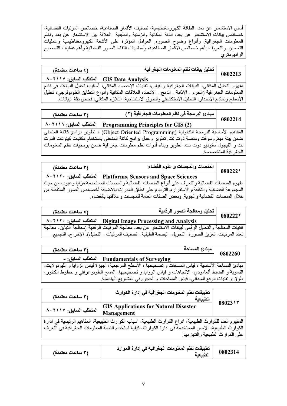أسس الاستشعار عن بعد، الطاقة الكهرومغنطيسية، تصنيف الأقمار الصناعية، خصائص المرئيات الفضائية، خصائص بيانات الاستشعار عن بعد، الدقة المكانية والزمنية والطيفية العلاقة بين الاستشعار عن بعد ونظم المعلومات الجغرافية وأنواع وضوح الصوره العوامل المؤثرة على الأشعة الكهرومغناطيسية وعمليات التحسين والتعريف بأهم خصائص الأقمار الصناعية، وأساسيات النقاط الصور الفضائية وأهم عمليات التصحيح الر اديو متر ي

| (٤ ساعات معتمدة)                           | أ تحليل بيانات نظم المعلومات الجغرافية                                                                                                                                                                                           | 0802213 |
|--------------------------------------------|----------------------------------------------------------------------------------------------------------------------------------------------------------------------------------------------------------------------------------|---------|
| GIS Data Analysis   المتطلب السابق: ٨٠٢١١٧ |                                                                                                                                                                                                                                  |         |
|                                            |                                                                                                                                                                                                                                  |         |
|                                            | مفهوم النحليل المكانـي، البيانـات الـجغرافيـة والقيـاس، نقنيـات الإحصـاء المكانـي، أسـاليب نـحليل البيـانـات فـي نظم<br>المعلومـات الـجغرافيـة (الـحرم ـ الإذابـة ـ الدمج ـ الاتـحاد، الـعلاقات المكانيـة وأنواع النطـابق الطوبو |         |
|                                            | الأسطح ونماذج الانحدار ، التحليل الاستكشافي والطرق الاستنتاجية، التلازم المكاني، فحص دقة البيانات.                                                                                                                               |         |

| (٣ ساعات معتمدة)        | مبادئ البرمجة في نظم المعلومات الجغرافية (٢)                                                  |                      |
|-------------------------|-----------------------------------------------------------------------------------------------|----------------------|
| المتطلب السابق: ١١١٦، ٨ | <b>Programming Principles for GIS (2)</b>                                                     | 0802214              |
|                         | المفاهيم الأساسية للبرمجة الكينونية (Object-Oriented Programming) ، نطوير برامج كائنة المنحنى |                      |
|                         | ضمن بيئة ميكروسوفت ومنصة دوت نت. تطوير وعمل برامج كائنة المنحنى باستخدام مكتبات كينونات الدوت |                      |
|                         | نت و الفيجول ستوديو دوت نت، تطوير وبناء أدوات نظم معلومات جغرافية ضمن برمجيات نظم المعلومات   |                      |
|                         |                                                                                               | الجغر افية المتخصصة. |

| (۳ ساعات معتمدة)                                                                                | المنصات والمجسات و علوم الفضاء                                                                     | 080222 |  |
|-------------------------------------------------------------------------------------------------|----------------------------------------------------------------------------------------------------|--------|--|
|                                                                                                 | A . ٢١٢ . المتطلب السابق: ١٢١٢٠ ] المتطلب السابق: ٨٠٢١٢٠                                           |        |  |
| مفهوم المنصات الفضائية والتعرف على أنواع المنصات الفضائية والمجسات المستخدمة مزايا وعيوب من حيث |                                                                                                    |        |  |
|                                                                                                 | المجموعة الفضائية والتكلفة،والاستقرار ،والتردد،وعلى نطاق المدرات بالإضافة لخصائص الصور الملتقطة من |        |  |
|                                                                                                 | خلال المنصات الفضائية والجوية. وبعض الصفات العامة للمجسات و علاقتها بالفضاء.                       |        |  |

| (٤ ساعات معتمدة) | تحليل ومعالجة الصور الرقمية                                                                               | 080222* |
|------------------|-----------------------------------------------------------------------------------------------------------|---------|
|                  | A • ۲۱۲۰ : المتطلب السابق Digital Image Processing and Analysis                                           |         |
|                  | تقنيات المعالجة والتحليل الرقمي لبيانات الاستشعار عن بعد، معالجة المرئيات الرقمية (معالجة التباين، معالجة |         |
|                  | تعدد المرئيات- تعزيز الصورة- التحويل- البصمة الطيفية - تصنيف المرئيات - التحليل)، الإخراج، التجميع.       |         |

| (٣ ساعات معتمدة) | مبادئ المساحة                                                                                         | 0802260 |
|------------------|-------------------------------------------------------------------------------------------------------|---------|
|                  | Fundamentals of Surveying   المتطلب السابق: -                                                         |         |
|                  | مبادئ المساحة الأساسية ، قياس المسافات و تصحيحها ، الأسطح المرجعية، أجهزة قياس الزوايا و الثيودولايت، |         |
|                  | التسوية و الضبط ألعامودي، الاتجاهات و قياس الزوايا و تصحيحيها، المسح الطوبوغرافي و خطوط الكنتور،      |         |
|                  | طرق و تقنيات الرفع الميداني، قياس المساحات و الحجوم في المشاريع الهندسية.                             |         |

| (٣ ساعات معتمدة)                                                                                           | تطبيقات نظم المعلومات الجغرافية في إدارة الكوارث<br>الطبيعية | $08023$ \ \r                      |
|------------------------------------------------------------------------------------------------------------|--------------------------------------------------------------|-----------------------------------|
| المتطلب السابق: ١١١٧ه.                                                                                     | <b>GIS Applications for Natural Disaster</b>                 |                                   |
|                                                                                                            | <b>Management</b>                                            |                                   |
| المفهوم العام للكوارث الطبيعية، انواع الكوارث الطبيعية، اسباب الكوارث الطبيعية، المفاهيم الرئيسية في ادارة |                                                              |                                   |
| الكوارث الطبيعية، الاسس المستخدمة في ادارة الكوارث، كيفية استخدام انظمة المعلومات الجغرافية في التعرف      |                                                              |                                   |
|                                                                                                            |                                                              | على الكوارث الطبيعية والتنبؤ بها. |

| ۳۱ ساعات معتمدة) | تطبيقات نظم المعلومات الجغرافية في إدارة الموارد<br>الطبيعية | 0802314 |
|------------------|--------------------------------------------------------------|---------|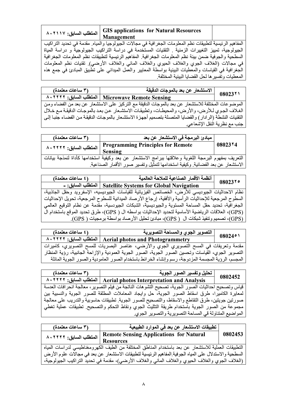| المتطلب السابق: ١١٧.٢١١٧ | GIS applications for Natural Resources<br><b>Management</b>                                              |  |
|--------------------------|----------------------------------------------------------------------------------------------------------|--|
|                          | المفاهيم الرئيسية لتطبيقات نظم المعلومات الجغرافية في مجالات الجيولوجيا والمياه. مقدمة في تحديد التراكيب |  |
|                          | الجيولوجية، تمييز التغييرات الزمنية . التقنيات المستخدمة في دراسة التراكيب الجيولوجية و دراسة المياة     |  |
|                          | بالسطردية والجوفرة ضرون ببئة نظم المعاومات الجغرافرة المفاهدم الرئيسرة انطربقات نظم المعاومات الجغرافرة  |  |

في مجالات (الغلاف الجوي والغلاف الحيوي والغلاف المائي والغلاف الأرضـي). تُقنيات نظم المعلومات الجغرافية في القياسات والمعطيات البيئية بواسطة المعايير والعمل الميداني على نطبيق المبادئ في جمع هذه المعطيات وتفسير ها لحل القضايا البيئية المختلفة.

| (٣ ساعات معتمدة)        | الاستشعار عن بعد بالموجات الدقيقة                                                                        | 08023*1                      |
|-------------------------|----------------------------------------------------------------------------------------------------------|------------------------------|
| المتطلب السابق: ٨٠٢٢٢ ٨ | <b>Microwave Remote Sensing</b>                                                                          |                              |
|                         | الموضوعات المختلفة للاستشعار عن بعد بالموجات الدقيقة مع التركيز على الاستشعار عن بعد من الفضاء ومن       |                              |
|                         | الغلاف الجوي للأرض، والأرض، والمحيطات، وتطبيقات الاستشعار عن بعد بالموجات الدقيقة مع خلال                |                              |
|                         | التقنيات النشطة (الرادار) والقضايا المتصلة بتصميم أجهزة الاستشعار بالموجات الدقيقة من الفضـاء جنبـا إلـي |                              |
|                         |                                                                                                          | جنب مع نظرية النقل الإشعاعي. |

| (٣ ساعات معتمدة)                                                                                     | مبادئ البرمجة في الاستشعار عن بعد                                                 |         |
|------------------------------------------------------------------------------------------------------|-----------------------------------------------------------------------------------|---------|
| المتطلب السابق: ١٢٢٢٢ ٨٠                                                                             | Programming Principles for Remote                                                 | 08023*4 |
|                                                                                                      | <b>Sensing</b>                                                                    |         |
| التعريف بمفهوم البرمجة اللغوية وعلاقتها ببرامج الاستشعار عن بعد وكيفية استخدامها كأداة لنمذجة بيانات |                                                                                   |         |
|                                                                                                      | الاستشعار عن بعد الفضائية. وكيفية استخدامها لتمثَّيل وتفسير صور الأقمار الصناعية. |         |

| (٤ ساعات معتمدة) | أنظمة الأقمار الصناعية للملاحة العالمية                     | 080237 |
|------------------|-------------------------------------------------------------|--------|
|                  | Satellite Systems for Global Navigation   المتطلب السابق: - |        |

نظام الاحداثيات الجيوديسي للأرض، الخصائص الفيزيائية للقياسات الجيوديسيه، الإسفرويد وحقل الجاذبية، السطوح المرجعية للإحداثيات الرأسية والأفقية، إرجاع الأرصاد الميدانية للسطوح المرجعية، تحويل الإحداثيات الجغرافية، تحديد حقل المساحة المستوية والجيوديسيَّة، الشبكات الجيودسية، مقَّدمة عن نظام التوقيع العالمي (GPS)، العلاقات الرياضية الأساسية لتحديد الإحداثيات بواسطه ال ( GPS)، طرق تحديد الموقع باستخدام الَّ (GPS))، تصميم وتنفيذ شبكات ال ( GPS)، مبادئ تحليل الأرصاد بواسطة برمجيات ( GPS).

| (٤ ساعات معتمدة) | التصوير الجوي والمساحة التصويرية                                                                   | $08024$ ° |
|------------------|----------------------------------------------------------------------------------------------------|-----------|
|                  | Aerial photos and Photogrammetry   المتطلب السابق: ٨٠٢٢٢٢                                          |           |
|                  | مقدمة وتعريفات في المسح التصويري الجوي والأرضبي، عناصر البصريات للمسح التصويري، كاميرات            |           |
|                  | التصوير الجوي، القياسات وتحسين الصور الجوية، الصور الجوية العمودية والإزاحة الجانبية، رؤية المنظار |           |
|                  | المجسم، الرؤية المجسمة المزدوجة، رسم وإنشاء الخرائط باستخدام الصور العامودية والصور الجوية المائلة |           |

| (۳ ساعات معتمدة)      | تحليل وتفسير الصور الجوية                                                                         | 0802452 |
|-----------------------|---------------------------------------------------------------------------------------------------|---------|
| المتطلب السابق: ٨٠٢٢٢ | <b>Aerial photos Interpretation and Analysis</b>                                                  |         |
|                       | قياس وتصحيح احداثيات الصور الجوية، تصحيح التشوهات الناتجة من فيلم التصوير، معالجة انحرافات العدسة |         |
|                       | لمعايرة الكاميرا، طرق اسقاط الصور الجوية، حل وايجاد المعاملات المطلقة للصور الجوية والنسبية بين   |         |
|                       | صورتين جويتين، طرق التقاطع والاسقاط، والتصحيح للصور الجوية. تطبيقات حاسوبية والتدريب على معالجة   |         |
|                       | مجموعة من الصور الجوية باستخدام طريقة التثليث الجوي ونقاط التحكم والتصحيح تطبيقات عملية تغطي      |         |
|                       | المواضيع المتناولة في المساحة التصويرية والتصوير الجوي.                                           |         |

| (٣ ساعات معتمدة)                                                                                       | تطبيقات الاستشعار عن بعد في الموارد الطبيعية                                                     |         |
|--------------------------------------------------------------------------------------------------------|--------------------------------------------------------------------------------------------------|---------|
| المتطلب السابق: ١٢٢٢٢                                                                                  | <b>Remote Sensing Applications for Natural</b>                                                   | 0802453 |
|                                                                                                        | <b>Resources</b>                                                                                 |         |
| التطبيقات العملية للاستشعار عن بعد باستخدام المناطق المختلفة من الطيف الكهرومغناطيسي لدراسات المياه    |                                                                                                  |         |
| السطحية والاستدلال على المياه الجوفية المفاهيم الرئيسية لتطبيقات الاستشعار عن بعد في مجالات علوم الأرض |                                                                                                  |         |
|                                                                                                        | (الغلاف الجوي والغلاف الحيوي والغلاف المائي والغلاف الأرضي)، مقدمة في تحديد التراكيب الجيولوجية، |         |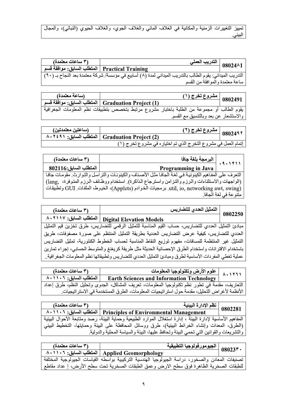تمييز التغييرات الزمنية والمكانية في الغلاف المائي والغلاف الجوي، والغلاف الحيوي (النباتي)، والمجال البيئي.

| (٣ ساعات معتمدة)                                |                                                                                                          | التدريب العملي<br>$08024^{1}$<br>$\overline{\cdots}$ |
|-------------------------------------------------|----------------------------------------------------------------------------------------------------------|------------------------------------------------------|
| Practical Training   المتطلب السابق: موافقة قسم |                                                                                                          |                                                      |
|                                                 | التدريب الميداني: يقوم الطالب بالتدريب الميداني لمدة (٨) أسابيع في مؤسسة/ شركة معتمدة بعد النجاح بـ (٩٠) |                                                      |
|                                                 |                                                                                                          | ساعة معتمدة والموافقة من القسم                       |

| (ساعة معتمدة) | مشروع تخرج (۱)                                                                             | 0802491 |
|---------------|--------------------------------------------------------------------------------------------|---------|
|               | المتطلب السابق: موافقة قسم [ Graduation Project (1 ]                                       |         |
|               | يقوم الطالب أو مجموعة من الطلبة باختبار مشروع مرتبط بتخصص بتطبيقات نظم المعلومات الجغرافية |         |
|               | والاستشعار عن بعد وبالتنسيق مع القسم                                                       |         |

| (ساعتين معتمدتين) | مشروع تخرج (۲)                                                | 0802497 |
|-------------------|---------------------------------------------------------------|---------|
|                   | للمتطلب السابق: ٨٠٢٤٩١   (1- Graduation Project               |         |
|                   | إتمام العمل في مشروع التخرج الذي تم اختياره في مشروع تخرج (١) |         |

| (٣ ساعات معتمدة)      |                                                                                                  |                        |
|-----------------------|--------------------------------------------------------------------------------------------------|------------------------|
| المتطلب السابق:802116 | البرمجة بلغة جافا<br>Programming in Java                                                         |                        |
|                       | التعرف على المفاهيم الكينونية في لغة الجافا مثل الأصناف والكينونات والتراسل والتوارث مقومات جافا |                        |
|                       | (الواجهات والاستثناءات والرزم والتزامن واسترجاع الذاكرة). استخدام ووظائف الرزم المتوفرة، lang,   |                        |
|                       | util, io, networking awt, swing) (Applets)، الخيوط، الملفات. [GU] وتطبيقات                       |                        |
|                       |                                                                                                  | متنو عة في لغة الجافا. |

| (۳ ساعات معتمدة) | التمثيل العددي للتضاريس  <br>0802250                                                                   |  |
|------------------|--------------------------------------------------------------------------------------------------------|--|
|                  | Digital Elevation Models   المنطلب السابق: ١٧, ٨٠٢١                                                    |  |
|                  | مبادئ التمثيل العددي للتضاريس، حساب القيم المناسبة للتمثيل الرقمي للتضاريس، طرق تخزين قيم التمثيل      |  |
|                  | العددي للتضاريس، كيفية عرض التضاريس العددية بطريقة التمثيل المنتظم على صورة مصفوفات، طريق              |  |
|                  | التمثيل غير المنتظمة للمسافات، مفهوم توزيع النقاط المناسبة لحساب الخطوط الكنتورية، تمثيل التضاريس      |  |
|                  | باستخدام الاقترانات واستخدام الطرق الإحصائية الحديثة مثل طريقة كريغنغ والمتوسط الحسابي، إجراء تمارين   |  |
|                  | عملية تغطي المفردات الأساسية لطرق ومبادئ التمثيل العددي للتضاريس وتطبيقاتها نظم المعلومات الجغر افية . |  |

| (۳ ساعات معتمدة)         | علوم الأرض وتكنولوجيا المعلومات<br>Earth Sciences and Information Technology                   |  |
|--------------------------|------------------------------------------------------------------------------------------------|--|
| المتطلب السابق: ١٠١١٠٦ ٨ |                                                                                                |  |
|                          | التعاريف، مقدمة في تطور نظم تكنولوجيا المعلومات، تعريف المشاكل، الجدوى وتحليل النظم، طرق إعداد |  |
|                          | الأنظمة لأغر اض التحليل، مقدمة حول استر اتيجيات المعلومات، الطرق المستخدمة في الاستر اتيجيات.  |  |

| (۳ ساعات معتمدة) | نظم الإدارة البيئية                                                                                         | 0802281 |
|------------------|-------------------------------------------------------------------------------------------------------------|---------|
|                  | Principles of Environmental Management   المتطلب السابق: ١٠١١٠٦                                             |         |
|                  | المفاهيم الأساسية لإدارة البيئة ، إدارة استغلال الموارد الطبيعية وحماية البيئة، رصد ومتابعة الأحوال البيئية |         |
|                  | (الطرق، المعدات وإنشاء الخرائط البيئية)، طرق ووسائل المحافظة على البيئة وحمايتها، التخطيط البيئي            |         |
|                  | والتشريعات والقوانين التي تحمى البيئة وتحافظ عليها، البيئة والسياسة المحلية والدولية.                       |         |

| (٣ ساعات معتمدة) | الجيومور فولوجيا التطبيقية                                                                       | $08023$ $\cdot$ |
|------------------|--------------------------------------------------------------------------------------------------|-----------------|
|                  | المتطلب السابق: ١٠١١٠٦ / Applied Geomorphology                                                   |                 |
|                  | تصنيفات المعادن والصخور، دراسة الجيولوجيا الهندسية التركيبية بواسطه القياسات الجيولوجية المختلفة |                 |
|                  | للطبقات الصخرية الظاهرة فوق سطح الارض وعمق الطبقات الصخرية تحت سطح الأرض، إ عداد مقاطع           |                 |